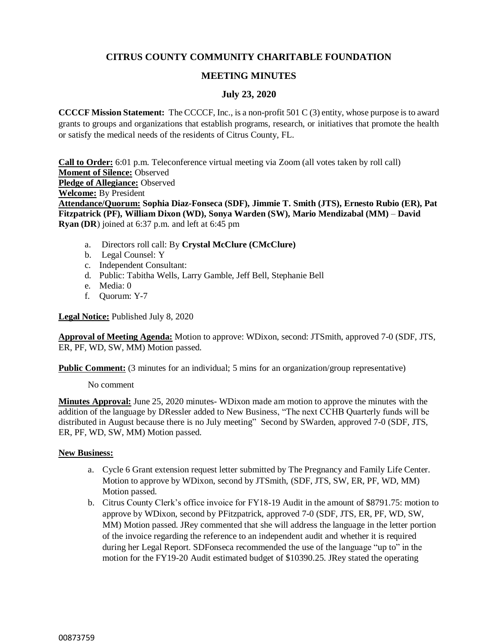# **CITRUS COUNTY COMMUNITY CHARITABLE FOUNDATION**

## **MEETING MINUTES**

## **July 23, 2020**

**CCCCF Mission Statement:** The CCCCF, Inc., is a non-profit 501 C (3) entity, whose purpose is to award grants to groups and organizations that establish programs, research, or initiatives that promote the health or satisfy the medical needs of the residents of Citrus County, FL.

**Call to Order:** 6:01 p.m. Teleconference virtual meeting via Zoom (all votes taken by roll call) **Moment of Silence:** Observed **Pledge of Allegiance:** Observed **Welcome:** By President **Attendance/Quorum: Sophia Diaz-Fonseca (SDF), Jimmie T. Smith (JTS), Ernesto Rubio (ER), Pat Fitzpatrick (PF), William Dixon (WD), Sonya Warden (SW), Mario Mendizabal (MM)** – **David Ryan (DR**) joined at 6:37 p.m. and left at 6:45 pm

- a. Directors roll call: By **Crystal McClure (CMcClure)**
- b. Legal Counsel: Y
- c. Independent Consultant:
- d. Public: Tabitha Wells, Larry Gamble, Jeff Bell, Stephanie Bell
- e. Media: 0
- f. Quorum: Y-7

**Legal Notice:** Published July 8, 2020

**Approval of Meeting Agenda:** Motion to approve: WDixon, second: JTSmith, approved 7-0 (SDF, JTS, ER, PF, WD, SW, MM) Motion passed.

**Public Comment:** (3 minutes for an individual; 5 mins for an organization/group representative)

No comment

**Minutes Approval:** June 25, 2020 minutes- WDixon made am motion to approve the minutes with the addition of the language by DRessler added to New Business, "The next CCHB Quarterly funds will be distributed in August because there is no July meeting" Second by SWarden, approved 7-0 (SDF, JTS, ER, PF, WD, SW, MM) Motion passed.

### **New Business:**

- a. Cycle 6 Grant extension request letter submitted by The Pregnancy and Family Life Center. Motion to approve by WDixon, second by JTSmith, (SDF, JTS, SW, ER, PF, WD, MM) Motion passed.
- b. Citrus County Clerk's office invoice for FY18-19 Audit in the amount of \$8791.75: motion to approve by WDixon, second by PFitzpatrick, approved 7-0 (SDF, JTS, ER, PF, WD, SW, MM) Motion passed. JRey commented that she will address the language in the letter portion of the invoice regarding the reference to an independent audit and whether it is required during her Legal Report. SDFonseca recommended the use of the language "up to" in the motion for the FY19-20 Audit estimated budget of \$10390.25. JRey stated the operating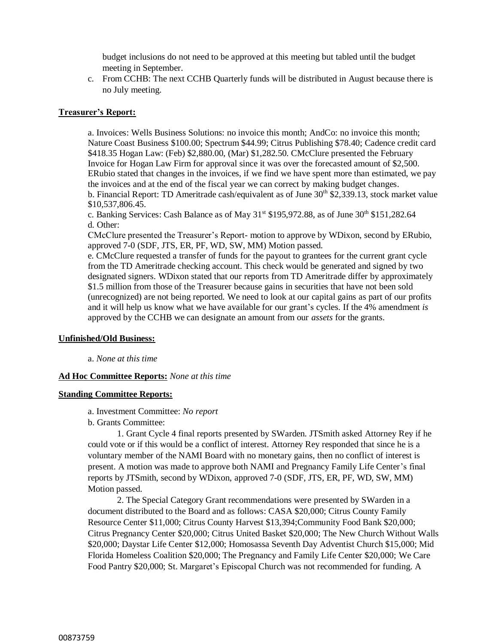budget inclusions do not need to be approved at this meeting but tabled until the budget meeting in September.

c. From CCHB: The next CCHB Quarterly funds will be distributed in August because there is no July meeting.

#### **Treasurer's Report:**

a. Invoices: Wells Business Solutions: no invoice this month; AndCo: no invoice this month; Nature Coast Business \$100.00; Spectrum \$44.99; Citrus Publishing \$78.40; Cadence credit card \$418.35 Hogan Law: (Feb) \$2,880.00, (Mar) \$1,282.50. CMcClure presented the February Invoice for Hogan Law Firm for approval since it was over the forecasted amount of \$2,500. ERubio stated that changes in the invoices, if we find we have spent more than estimated, we pay the invoices and at the end of the fiscal year we can correct by making budget changes. b. Financial Report: TD Ameritrade cash/equivalent as of June  $30<sup>th</sup>$  \$2,339.13, stock market value \$10,537,806.45.

c. Banking Services: Cash Balance as of May  $31<sup>st</sup>$  \$195,972.88, as of June  $30<sup>th</sup>$  \$151,282.64 d. Other:

CMcClure presented the Treasurer's Report- motion to approve by WDixon, second by ERubio, approved 7-0 (SDF, JTS, ER, PF, WD, SW, MM) Motion passed.

e. CMcClure requested a transfer of funds for the payout to grantees for the current grant cycle from the TD Ameritrade checking account. This check would be generated and signed by two designated signers. WDixon stated that our reports from TD Ameritrade differ by approximately \$1.5 million from those of the Treasurer because gains in securities that have not been sold (unrecognized) are not being reported. We need to look at our capital gains as part of our profits and it will help us know what we have available for our grant's cycles. If the 4% amendment *is* approved by the CCHB we can designate an amount from our *assets* for the grants.

#### **Unfinished/Old Business:**

a. *None at this time*

#### **Ad Hoc Committee Reports:** *None at this time*

#### **Standing Committee Reports:**

- a. Investment Committee: *No report*
- b. Grants Committee:

1. Grant Cycle 4 final reports presented by SWarden. JTSmith asked Attorney Rey if he could vote or if this would be a conflict of interest. Attorney Rey responded that since he is a voluntary member of the NAMI Board with no monetary gains, then no conflict of interest is present. A motion was made to approve both NAMI and Pregnancy Family Life Center's final reports by JTSmith, second by WDixon, approved 7-0 (SDF, JTS, ER, PF, WD, SW, MM) Motion passed.

2. The Special Category Grant recommendations were presented by SWarden in a document distributed to the Board and as follows: CASA \$20,000; Citrus County Family Resource Center \$11,000; Citrus County Harvest \$13,394;Community Food Bank \$20,000; Citrus Pregnancy Center \$20,000; Citrus United Basket \$20,000; The New Church Without Walls \$20,000; Daystar Life Center \$12,000; Homosassa Seventh Day Adventist Church \$15,000; Mid Florida Homeless Coalition \$20,000; The Pregnancy and Family Life Center \$20,000; We Care Food Pantry \$20,000; St. Margaret's Episcopal Church was not recommended for funding. A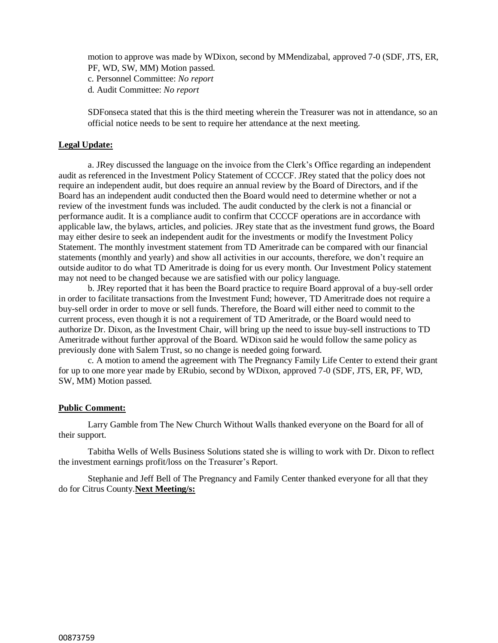motion to approve was made by WDixon, second by MMendizabal, approved 7-0 (SDF, JTS, ER, PF, WD, SW, MM) Motion passed.

c. Personnel Committee: *No report*

d. Audit Committee: *No report*

SDFonseca stated that this is the third meeting wherein the Treasurer was not in attendance, so an official notice needs to be sent to require her attendance at the next meeting.

#### **Legal Update:**

a. JRey discussed the language on the invoice from the Clerk's Office regarding an independent audit as referenced in the Investment Policy Statement of CCCCF. JRey stated that the policy does not require an independent audit, but does require an annual review by the Board of Directors, and if the Board has an independent audit conducted then the Board would need to determine whether or not a review of the investment funds was included. The audit conducted by the clerk is not a financial or performance audit. It is a compliance audit to confirm that CCCCF operations are in accordance with applicable law, the bylaws, articles, and policies. JRey state that as the investment fund grows, the Board may either desire to seek an independent audit for the investments or modify the Investment Policy Statement. The monthly investment statement from TD Ameritrade can be compared with our financial statements (monthly and yearly) and show all activities in our accounts, therefore, we don't require an outside auditor to do what TD Ameritrade is doing for us every month. Our Investment Policy statement may not need to be changed because we are satisfied with our policy language.

b. JRey reported that it has been the Board practice to require Board approval of a buy-sell order in order to facilitate transactions from the Investment Fund; however, TD Ameritrade does not require a buy-sell order in order to move or sell funds. Therefore, the Board will either need to commit to the current process, even though it is not a requirement of TD Ameritrade, or the Board would need to authorize Dr. Dixon, as the Investment Chair, will bring up the need to issue buy-sell instructions to TD Ameritrade without further approval of the Board. WDixon said he would follow the same policy as previously done with Salem Trust, so no change is needed going forward.

c. A motion to amend the agreement with The Pregnancy Family Life Center to extend their grant for up to one more year made by ERubio, second by WDixon, approved 7-0 (SDF, JTS, ER, PF, WD, SW, MM) Motion passed.

#### **Public Comment:**

Larry Gamble from The New Church Without Walls thanked everyone on the Board for all of their support.

Tabitha Wells of Wells Business Solutions stated she is willing to work with Dr. Dixon to reflect the investment earnings profit/loss on the Treasurer's Report.

Stephanie and Jeff Bell of The Pregnancy and Family Center thanked everyone for all that they do for Citrus County.**Next Meeting/s:**